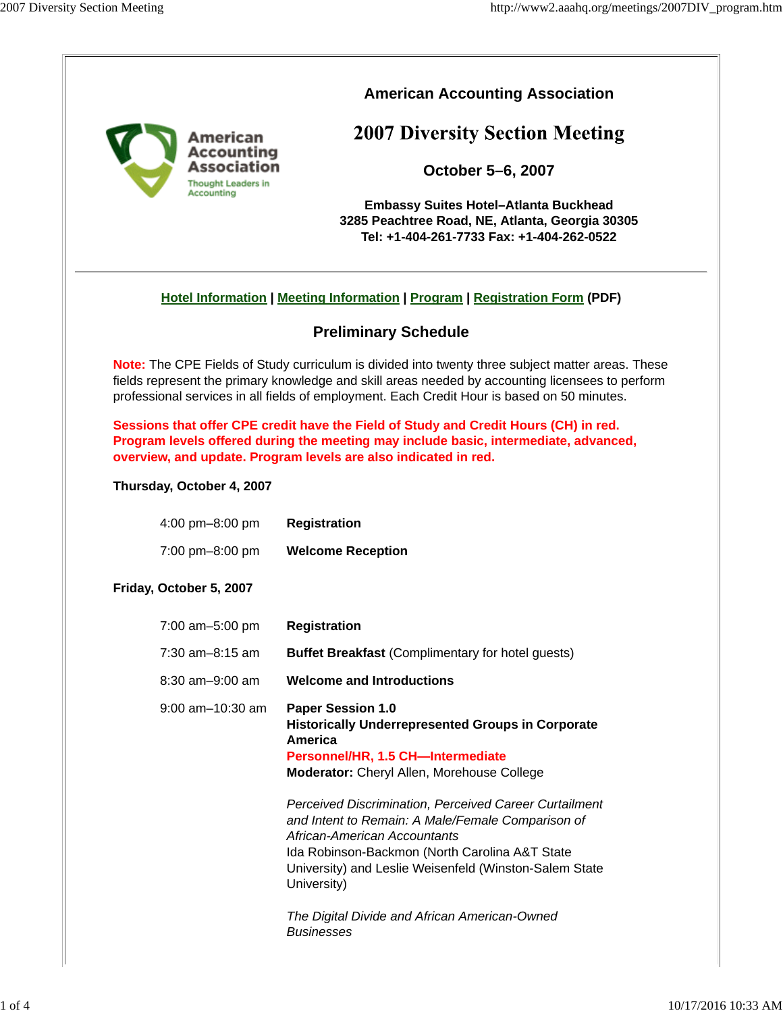

## **American Accounting Association**

# **2007 Diversity Section Meeting**

**October 5–6, 2007**

**Embassy Suites Hotel–Atlanta Buckhead 3285 Peachtree Road, NE, Atlanta, Georgia 30305 Tel: +1-404-261-7733 Fax: +1-404-262-0522**

## **Hotel Information | Meeting Information | Program | Registration Form (PDF)**

## **Preliminary Schedule**

**Note:** The CPE Fields of Study curriculum is divided into twenty three subject matter areas. These fields represent the primary knowledge and skill areas needed by accounting licensees to perform professional services in all fields of employment. Each Credit Hour is based on 50 minutes.

**Sessions that offer CPE credit have the Field of Study and Credit Hours (CH) in red. Program levels offered during the meeting may include basic, intermediate, advanced, overview, and update. Program levels are also indicated in red.**

#### **Thursday, October 4, 2007**

4:00 pm–8:00 pm **Registration**

7:00 pm–8:00 pm **Welcome Reception**

### **Friday, October 5, 2007**

| 7:00 am-5:00 pm       | <b>Registration</b>                                                                                                                                                                                                                                                                                                     |
|-----------------------|-------------------------------------------------------------------------------------------------------------------------------------------------------------------------------------------------------------------------------------------------------------------------------------------------------------------------|
| $7:30$ am-8:15 am     | <b>Buffet Breakfast (Complimentary for hotel guests)</b>                                                                                                                                                                                                                                                                |
| $8:30$ am $-9:00$ am  | <b>Welcome and Introductions</b>                                                                                                                                                                                                                                                                                        |
| $9:00$ am $-10:30$ am | <b>Paper Session 1.0</b><br><b>Historically Underrepresented Groups in Corporate</b><br>America<br>Personnel/HR, 1.5 CH-Intermediate<br><b>Moderator:</b> Cheryl Allen, Morehouse College                                                                                                                               |
|                       | Perceived Discrimination, Perceived Career Curtailment<br>and Intent to Remain: A Male/Female Comparison of<br>African-American Accountants<br>Ida Robinson-Backmon (North Carolina A&T State<br>University) and Leslie Weisenfeld (Winston-Salem State<br>University)<br>The Digital Divide and African American-Owned |
|                       | Businesses                                                                                                                                                                                                                                                                                                              |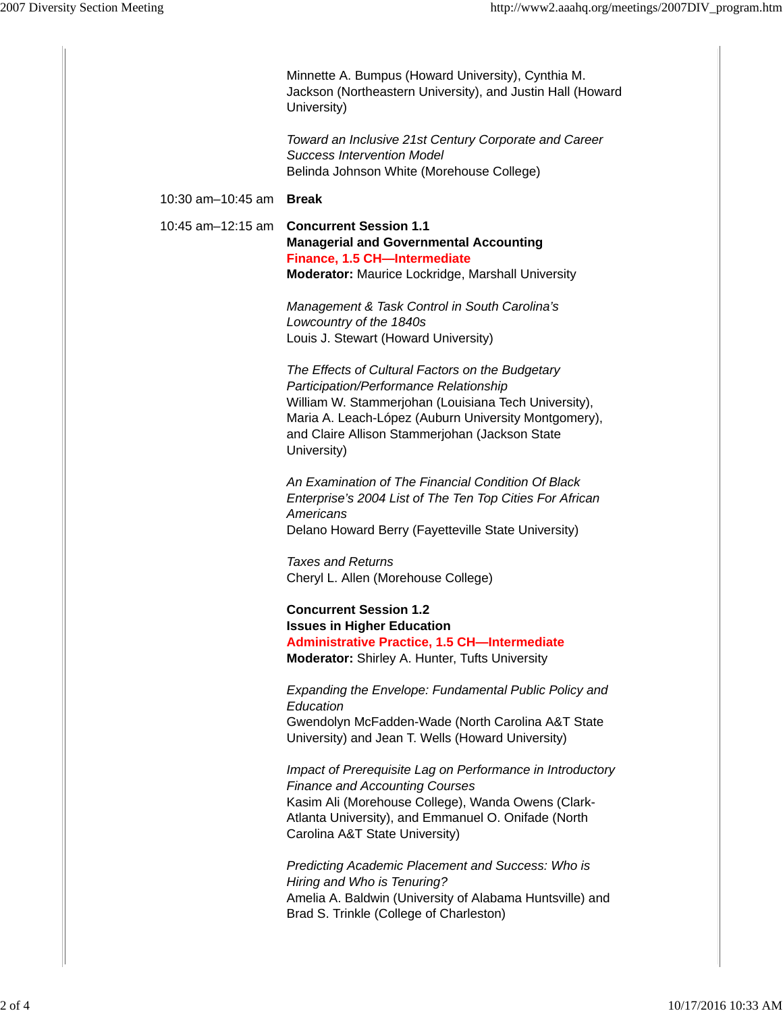|                         | Minnette A. Bumpus (Howard University), Cynthia M.<br>Jackson (Northeastern University), and Justin Hall (Howard<br>University)                                                                                                                                             |
|-------------------------|-----------------------------------------------------------------------------------------------------------------------------------------------------------------------------------------------------------------------------------------------------------------------------|
|                         | Toward an Inclusive 21st Century Corporate and Career<br><b>Success Intervention Model</b><br>Belinda Johnson White (Morehouse College)                                                                                                                                     |
| 10:30 am-10:45 am Break |                                                                                                                                                                                                                                                                             |
| 10:45 am-12:15 am       | <b>Concurrent Session 1.1</b><br><b>Managerial and Governmental Accounting</b><br>Finance, 1.5 CH-Intermediate<br><b>Moderator:</b> Maurice Lockridge, Marshall University                                                                                                  |
|                         | Management & Task Control in South Carolina's<br>Lowcountry of the 1840s<br>Louis J. Stewart (Howard University)                                                                                                                                                            |
|                         | The Effects of Cultural Factors on the Budgetary<br>Participation/Performance Relationship<br>William W. Stammerjohan (Louisiana Tech University),<br>Maria A. Leach-López (Auburn University Montgomery),<br>and Claire Allison Stammerjohan (Jackson State<br>University) |
|                         | An Examination of The Financial Condition Of Black<br>Enterprise's 2004 List of The Ten Top Cities For African<br>Americans<br>Delano Howard Berry (Fayetteville State University)                                                                                          |
|                         | <b>Taxes and Returns</b><br>Cheryl L. Allen (Morehouse College)                                                                                                                                                                                                             |
|                         | <b>Concurrent Session 1.2</b><br><b>Issues in Higher Education</b><br><b>Administrative Practice, 1.5 CH-Intermediate</b><br>Moderator: Shirley A. Hunter, Tufts University                                                                                                 |
|                         | Expanding the Envelope: Fundamental Public Policy and<br>Education<br>Gwendolyn McFadden-Wade (North Carolina A&T State<br>University) and Jean T. Wells (Howard University)                                                                                                |
|                         | Impact of Prerequisite Lag on Performance in Introductory<br><b>Finance and Accounting Courses</b><br>Kasim Ali (Morehouse College), Wanda Owens (Clark-<br>Atlanta University), and Emmanuel O. Onifade (North<br>Carolina A&T State University)                           |
|                         | Predicting Academic Placement and Success: Who is<br>Hiring and Who is Tenuring?<br>Amelia A. Baldwin (University of Alabama Huntsville) and<br>Brad S. Trinkle (College of Charleston)                                                                                     |
|                         |                                                                                                                                                                                                                                                                             |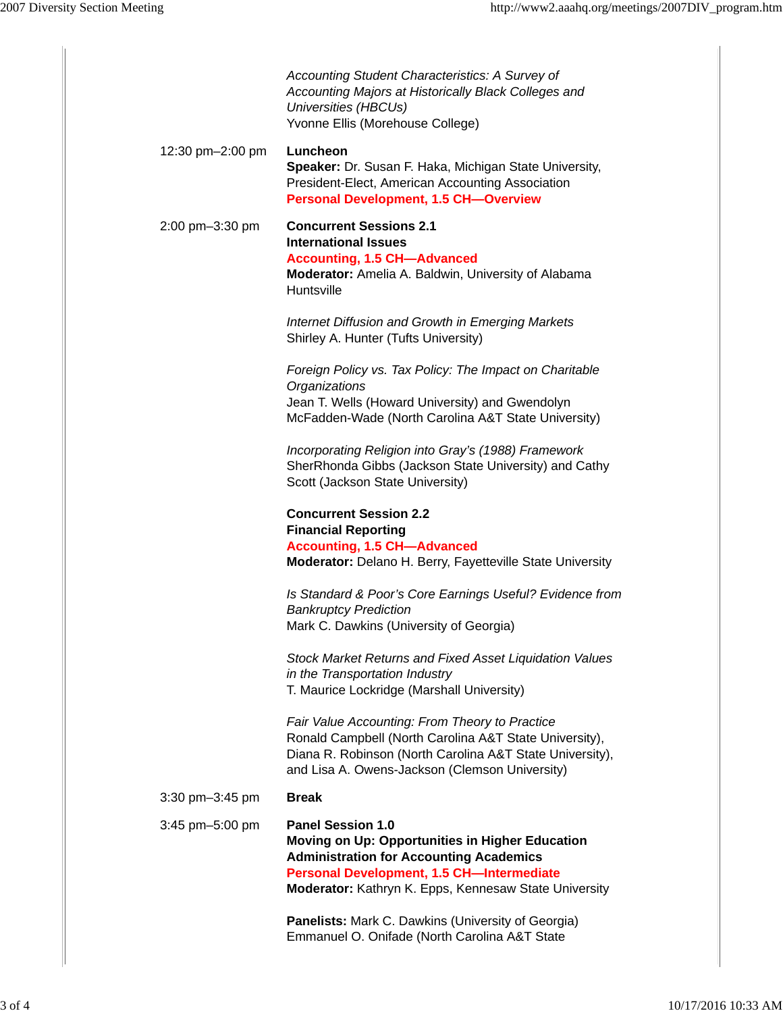|                  | Accounting Student Characteristics: A Survey of<br>Accounting Majors at Historically Black Colleges and<br>Universities (HBCUs)<br>Yvonne Ellis (Morehouse College)                                                                        |
|------------------|--------------------------------------------------------------------------------------------------------------------------------------------------------------------------------------------------------------------------------------------|
| 12:30 pm-2:00 pm | Luncheon<br>Speaker: Dr. Susan F. Haka, Michigan State University,<br>President-Elect, American Accounting Association<br><b>Personal Development, 1.5 CH-Overview</b>                                                                     |
| 2:00 pm-3:30 pm  | <b>Concurrent Sessions 2.1</b><br><b>International Issues</b><br><b>Accounting, 1.5 CH-Advanced</b><br>Moderator: Amelia A. Baldwin, University of Alabama<br>Huntsville                                                                   |
|                  | Internet Diffusion and Growth in Emerging Markets<br>Shirley A. Hunter (Tufts University)                                                                                                                                                  |
|                  | Foreign Policy vs. Tax Policy: The Impact on Charitable<br>Organizations<br>Jean T. Wells (Howard University) and Gwendolyn<br>McFadden-Wade (North Carolina A&T State University)                                                         |
|                  | Incorporating Religion into Gray's (1988) Framework<br>SherRhonda Gibbs (Jackson State University) and Cathy<br>Scott (Jackson State University)                                                                                           |
|                  | <b>Concurrent Session 2.2</b><br><b>Financial Reporting</b><br><b>Accounting, 1.5 CH-Advanced</b><br>Moderator: Delano H. Berry, Fayetteville State University                                                                             |
|                  | Is Standard & Poor's Core Earnings Useful? Evidence from<br><b>Bankruptcy Prediction</b><br>Mark C. Dawkins (University of Georgia)                                                                                                        |
|                  | <b>Stock Market Returns and Fixed Asset Liquidation Values</b><br>in the Transportation Industry<br>T. Maurice Lockridge (Marshall University)                                                                                             |
|                  | Fair Value Accounting: From Theory to Practice<br>Ronald Campbell (North Carolina A&T State University),<br>Diana R. Robinson (North Carolina A&T State University),<br>and Lisa A. Owens-Jackson (Clemson University)                     |
| 3:30 pm-3:45 pm  | <b>Break</b>                                                                                                                                                                                                                               |
| 3:45 pm-5:00 pm  | <b>Panel Session 1.0</b><br>Moving on Up: Opportunities in Higher Education<br><b>Administration for Accounting Academics</b><br><b>Personal Development, 1.5 CH-Intermediate</b><br>Moderator: Kathryn K. Epps, Kennesaw State University |
|                  | Panelists: Mark C. Dawkins (University of Georgia)<br>Emmanuel O. Onifade (North Carolina A&T State                                                                                                                                        |